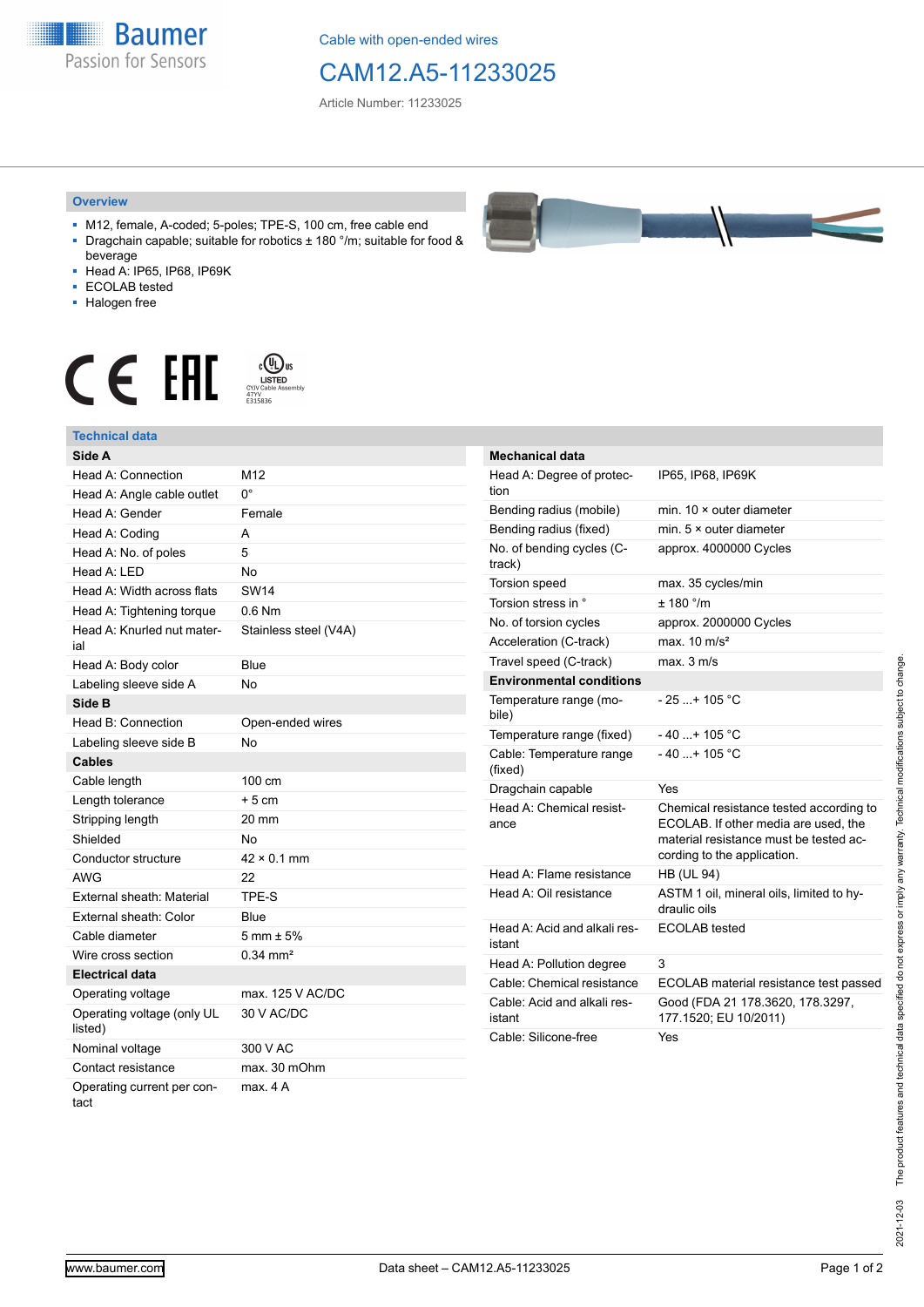**Baumer** Passion for Sensors

Cable with open-ended wires

## CAM12.A5-11233025

Article Number: 11233025

## **Overview**

- M12, female, A-coded; 5-poles; TPE-S, 100 cm, free cable end ■ Dragchain capable; suitable for robotics ± 180 °/m; suitable for food &
- beverage ■ Head A: IP65, IP68, IP69K
- ECOLAB tested
- Halogen free
- 

## $\displaystyle \bigoplus_{\substack{\text{CVD Cable Assen } \atop \text{CVD Cable Assen } \atop \text{E315836}}} \bigoplus_{\substack{\text{CVD Cable Assen } \atop \text{E315836}}}$ CE EHI



| $\sim$                             |              |
|------------------------------------|--------------|
| Nominal voltage                    | 300 V AC     |
| Contact resistance                 | max. 30 mOhm |
| Operating current per con-<br>tact | max. 4A      |



| <b>Mechanical data</b>                 |                                                                                                                                                          |
|----------------------------------------|----------------------------------------------------------------------------------------------------------------------------------------------------------|
| Head A: Degree of protec-<br>tion      | IP65, IP68, IP69K                                                                                                                                        |
| Bending radius (mobile)                | min. 10 × outer diameter                                                                                                                                 |
| Bending radius (fixed)                 | min. $5 \times$ outer diameter                                                                                                                           |
| No. of bending cycles (C-<br>track)    | approx. 4000000 Cycles                                                                                                                                   |
| Torsion speed                          | max. 35 cycles/min                                                                                                                                       |
| Torsion stress in °                    | ± 180 °/m                                                                                                                                                |
| No. of torsion cycles                  | approx. 2000000 Cycles                                                                                                                                   |
| Acceleration (C-track)                 | max. $10 \text{ m/s}^2$                                                                                                                                  |
| Travel speed (C-track)                 | max. 3 m/s                                                                                                                                               |
| <b>Environmental conditions</b>        |                                                                                                                                                          |
| Temperature range (mo-<br>bile)        | $-25+105$ °C                                                                                                                                             |
| Temperature range (fixed)              | - 40 + 105 °C                                                                                                                                            |
| Cable: Temperature range<br>(fixed)    | $-40+105$ °C                                                                                                                                             |
| Dragchain capable                      | Yes                                                                                                                                                      |
| Head A: Chemical resist-<br>ance       | Chemical resistance tested according to<br>ECOLAB. If other media are used, the<br>material resistance must be tested ac-<br>cording to the application. |
| Head A: Flame resistance               | <b>HB (UL 94)</b>                                                                                                                                        |
| Head A: Oil resistance                 | ASTM 1 oil, mineral oils, limited to hy-<br>draulic oils                                                                                                 |
| Head A: Acid and alkali res-<br>istant | ECOLAB tested                                                                                                                                            |
| Head A: Pollution degree               | 3                                                                                                                                                        |
| Cable: Chemical resistance             | ECOLAB material resistance test passed                                                                                                                   |
| Cable: Acid and alkali res-<br>istant  | Good (FDA 21 178.3620, 178.3297,<br>177.1520; EU 10/2011)                                                                                                |
| Cable: Silicone-free                   | Yes                                                                                                                                                      |